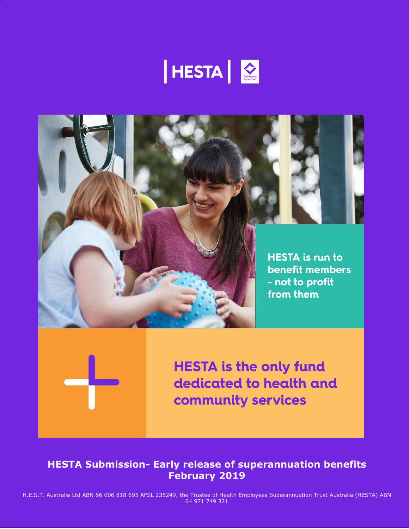





# **HESTA Submission- Early release of superannuation benefits February 2019**

H.E.S.T. Australia Ltd ABN 66 006 818 695 AFSL 235249, the Trustee of Health Employees Superannuation Trust Australia (HESTA) ABN 64 971 749 321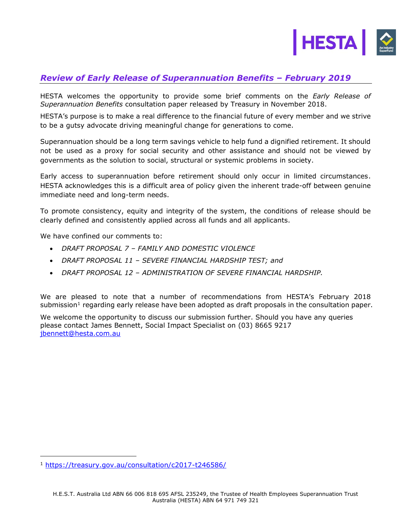

## *Review of Early Release of Superannuation Benefits – February 2019*

HESTA welcomes the opportunity to provide some brief comments on the *Early Release of Superannuation Benefits* consultation paper released by Treasury in November 2018.

HESTA's purpose is to make a real difference to the financial future of every member and we strive to be a gutsy advocate driving meaningful change for generations to come.

Superannuation should be a long term savings vehicle to help fund a dignified retirement. It should not be used as a proxy for social security and other assistance and should not be viewed by governments as the solution to social, structural or systemic problems in society.

Early access to superannuation before retirement should only occur in limited circumstances. HESTA acknowledges this is a difficult area of policy given the inherent trade-off between genuine immediate need and long-term needs.

To promote consistency, equity and integrity of the system, the conditions of release should be clearly defined and consistently applied across all funds and all applicants.

We have confined our comments to:

- *DRAFT PROPOSAL 7 – FAMILY AND DOMESTIC VIOLENCE*
- *DRAFT PROPOSAL 11 – SEVERE FINANCIAL HARDSHIP TEST; and*
- *DRAFT PROPOSAL 12 – ADMINISTRATION OF SEVERE FINANCIAL HARDSHIP.*

We are pleased to note that a number of recommendations from HESTA's February 2018 submission<sup>1</sup> regarding early release have been adopted as draft proposals in the consultation paper.

We welcome the opportunity to discuss our submission further. Should you have any queries please contact James Bennett, Social Impact Specialist on (03) 8665 9217 [jbennett@hesta.com.au](mailto:jbennett@hesta.com.au)

ı

<sup>1</sup> <https://treasury.gov.au/consultation/c2017-t246586/>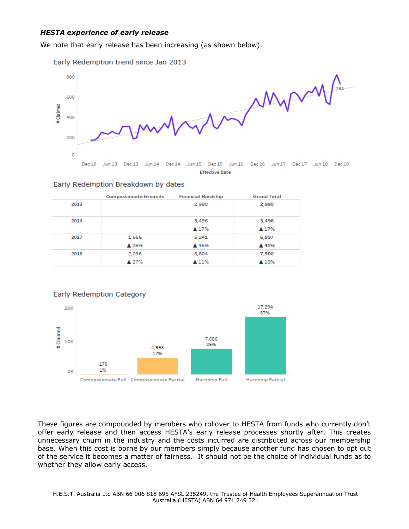## *HESTA experience of early release*

We note that early release has been increasing (as shown below).





|      | <b>Compassionate Grounds</b> | <b>Financial Hardship</b> | <b>Grand Total</b> |
|------|------------------------------|---------------------------|--------------------|
| 2013 |                              | 2,980                     | 2,980              |
| 2014 |                              | 3,496                     | 3,496              |
|      |                              | ▲ 17%                     | ▲ 17%              |
| 2017 | 1,656                        | 5,241                     | 6,897              |
|      | ▲ 26%                        | ▲ 46%                     | ▲ 41%              |
| 2018 | 2,096                        | 5,804                     | 7,900              |
|      | ▲ 27%                        | ▲ 11%                     | A 15%              |





These figures are compounded by members who rollover to HESTA from funds who currently don't offer early release and then access HESTA's early release processes shortly after. This creates unnecessary churn in the industry and the costs incurred are distributed across our membership base. When this cost is borne by our members simply because another fund has chosen to opt out of the service it becomes a matter of fairness. It should not be the choice of individual funds as to whether they allow early access.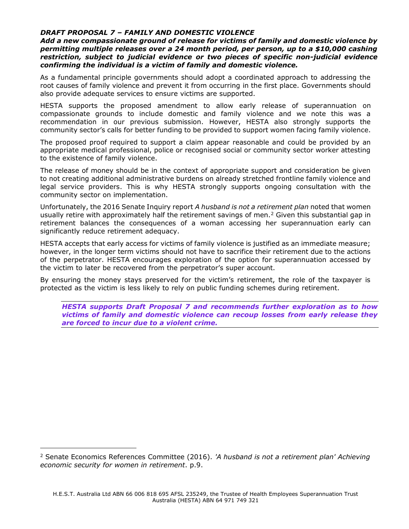### *DRAFT PROPOSAL 7 – FAMILY AND DOMESTIC VIOLENCE*

*Add a new compassionate ground of release for victims of family and domestic violence by permitting multiple releases over a 24 month period, per person, up to a \$10,000 cashing restriction, subject to judicial evidence or two pieces of specific non-judicial evidence confirming the individual is a victim of family and domestic violence.*

As a fundamental principle governments should adopt a coordinated approach to addressing the root causes of family violence and prevent it from occurring in the first place. Governments should also provide adequate services to ensure victims are supported.

HESTA supports the proposed amendment to allow early release of superannuation on compassionate grounds to include domestic and family violence and we note this was a recommendation in our previous submission. However, HESTA also strongly supports the community sector's calls for better funding to be provided to support women facing family violence.

The proposed proof required to support a claim appear reasonable and could be provided by an appropriate medical professional, police or recognised social or community sector worker attesting to the existence of family violence.

The release of money should be in the context of appropriate support and consideration be given to not creating additional administrative burdens on already stretched frontline family violence and legal service providers. This is why HESTA strongly supports ongoing consultation with the community sector on implementation.

Unfortunately, the 2016 Senate Inquiry report *A husband is not a retirement plan* noted that women usually retire with approximately half the retirement savings of men.<sup>2</sup> Given this substantial gap in retirement balances the consequences of a woman accessing her superannuation early can significantly reduce retirement adequacy.

HESTA accepts that early access for victims of family violence is justified as an immediate measure; however, in the longer term victims should not have to sacrifice their retirement due to the actions of the perpetrator. HESTA encourages exploration of the option for superannuation accessed by the victim to later be recovered from the perpetrator's super account.

By ensuring the money stays preserved for the victim's retirement, the role of the taxpayer is protected as the victim is less likely to rely on public funding schemes during retirement.

*HESTA supports Draft Proposal 7 and recommends further exploration as to how victims of family and domestic violence can recoup losses from early release they are forced to incur due to a violent crime.* 

ı

<sup>2</sup> Senate Economics References Committee (2016). *'A husband is not a retirement plan' Achieving economic security for women in retirement*. p.9.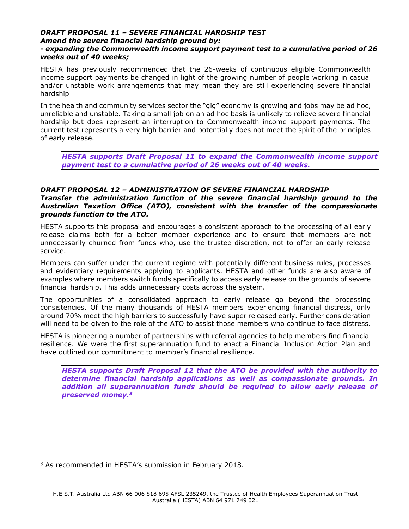## *DRAFT PROPOSAL 11 – SEVERE FINANCIAL HARDSHIP TEST Amend the severe financial hardship ground by:*

## *- expanding the Commonwealth income support payment test to a cumulative period of 26 weeks out of 40 weeks;*

HESTA has previously recommended that the 26-weeks of continuous eligible Commonwealth income support payments be changed in light of the growing number of people working in casual and/or unstable work arrangements that may mean they are still experiencing severe financial hardship

In the health and community services sector the "gig" economy is growing and jobs may be ad hoc, unreliable and unstable. Taking a small job on an ad hoc basis is unlikely to relieve severe financial hardship but does represent an interruption to Commonwealth income support payments. The current test represents a very high barrier and potentially does not meet the spirit of the principles of early release.

*HESTA supports Draft Proposal 11 to expand the Commonwealth income support payment test to a cumulative period of 26 weeks out of 40 weeks.*

## *DRAFT PROPOSAL 12 – ADMINISTRATION OF SEVERE FINANCIAL HARDSHIP Transfer the administration function of the severe financial hardship ground to the Australian Taxation Office (ATO), consistent with the transfer of the compassionate grounds function to the ATO.*

HESTA supports this proposal and encourages a consistent approach to the processing of all early release claims both for a better member experience and to ensure that members are not unnecessarily churned from funds who, use the trustee discretion, not to offer an early release service.

Members can suffer under the current regime with potentially different business rules, processes and evidentiary requirements applying to applicants. HESTA and other funds are also aware of examples where members switch funds specifically to access early release on the grounds of severe financial hardship. This adds unnecessary costs across the system.

The opportunities of a consolidated approach to early release go beyond the processing consistencies. Of the many thousands of HESTA members experiencing financial distress, only around 70% meet the high barriers to successfully have super released early. Further consideration will need to be given to the role of the ATO to assist those members who continue to face distress.

HESTA is pioneering a number of partnerships with referral agencies to help members find financial resilience. We were the first superannuation fund to enact a Financial Inclusion Action Plan and have outlined our commitment to member's financial resilience.

*HESTA supports Draft Proposal 12 that the ATO be provided with the authority to determine financial hardship applications as well as compassionate grounds. In addition all superannuation funds should be required to allow early release of preserved money.<sup>3</sup>*

ı

<sup>&</sup>lt;sup>3</sup> As recommended in HESTA's submission in February 2018.